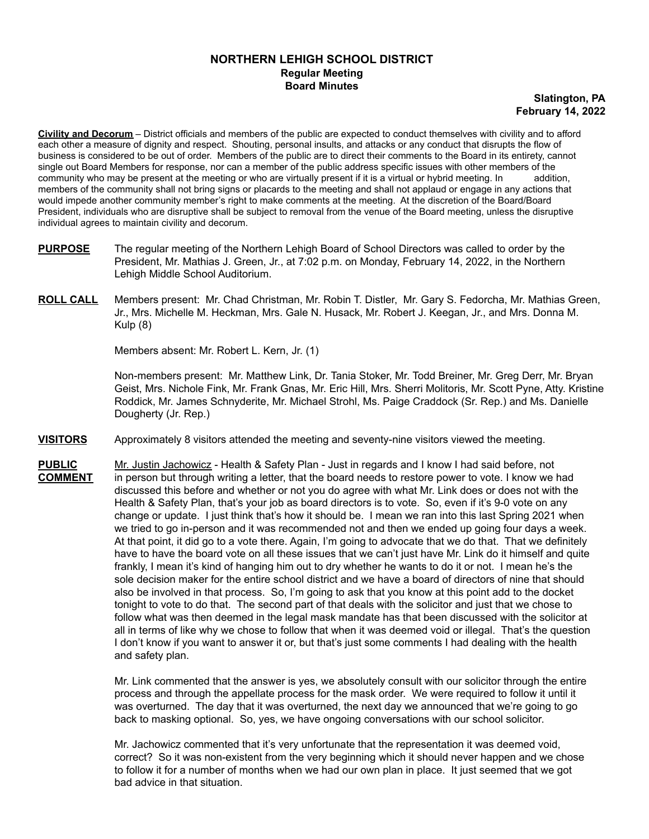## **NORTHERN LEHIGH SCHOOL DISTRICT Regular Meeting Board Minutes**

**Slatington, PA February 14, 2022**

**Civility and Decorum** – District officials and members of the public are expected to conduct themselves with civility and to afford each other a measure of dignity and respect. Shouting, personal insults, and attacks or any conduct that disrupts the flow of business is considered to be out of order. Members of the public are to direct their comments to the Board in its entirety, cannot single out Board Members for response, nor can a member of the public address specific issues with other members of the community who may be present at the meeting or who are virtually present if it is a virtual or hybrid meeting. In addition, members of the community shall not bring signs or placards to the meeting and shall not applaud or engage in any actions that would impede another community member's right to make comments at the meeting. At the discretion of the Board/Board President, individuals who are disruptive shall be subject to removal from the venue of the Board meeting, unless the disruptive individual agrees to maintain civility and decorum.

- **PURPOSE** The regular meeting of the Northern Lehigh Board of School Directors was called to order by the President, Mr. Mathias J. Green, Jr., at 7:02 p.m. on Monday, February 14, 2022, in the Northern Lehigh Middle School Auditorium.
- **ROLL CALL** Members present: Mr. Chad Christman, Mr. Robin T. Distler, Mr. Gary S. Fedorcha, Mr. Mathias Green, Jr., Mrs. Michelle M. Heckman, Mrs. Gale N. Husack, Mr. Robert J. Keegan, Jr., and Mrs. Donna M. Kulp (8)

Members absent: Mr. Robert L. Kern, Jr. (1)

Non-members present: Mr. Matthew Link, Dr. Tania Stoker, Mr. Todd Breiner, Mr. Greg Derr, Mr. Bryan Geist, Mrs. Nichole Fink, Mr. Frank Gnas, Mr. Eric Hill, Mrs. Sherri Molitoris, Mr. Scott Pyne, Atty. Kristine Roddick, Mr. James Schnyderite, Mr. Michael Strohl, Ms. Paige Craddock (Sr. Rep.) and Ms. Danielle Dougherty (Jr. Rep.)

- **VISITORS** Approximately 8 visitors attended the meeting and seventy-nine visitors viewed the meeting.
- **PUBLIC** Mr. Justin Jachowicz Health & Safety Plan Just in regards and I know I had said before, not **COMMENT** in person but through writing a letter, that the board needs to restore power to vote. I know we had discussed this before and whether or not you do agree with what Mr. Link does or does not with the Health & Safety Plan, that's your job as board directors is to vote. So, even if it's 9-0 vote on any change or update. I just think that's how it should be. I mean we ran into this last Spring 2021 when we tried to go in-person and it was recommended not and then we ended up going four days a week. At that point, it did go to a vote there. Again, I'm going to advocate that we do that. That we definitely have to have the board vote on all these issues that we can't just have Mr. Link do it himself and quite frankly, I mean it's kind of hanging him out to dry whether he wants to do it or not. I mean he's the sole decision maker for the entire school district and we have a board of directors of nine that should also be involved in that process. So, I'm going to ask that you know at this point add to the docket tonight to vote to do that. The second part of that deals with the solicitor and just that we chose to follow what was then deemed in the legal mask mandate has that been discussed with the solicitor at all in terms of like why we chose to follow that when it was deemed void or illegal. That's the question I don't know if you want to answer it or, but that's just some comments I had dealing with the health and safety plan.

Mr. Link commented that the answer is yes, we absolutely consult with our solicitor through the entire process and through the appellate process for the mask order. We were required to follow it until it was overturned. The day that it was overturned, the next day we announced that we're going to go back to masking optional. So, yes, we have ongoing conversations with our school solicitor.

Mr. Jachowicz commented that it's very unfortunate that the representation it was deemed void, correct? So it was non-existent from the very beginning which it should never happen and we chose to follow it for a number of months when we had our own plan in place. It just seemed that we got bad advice in that situation.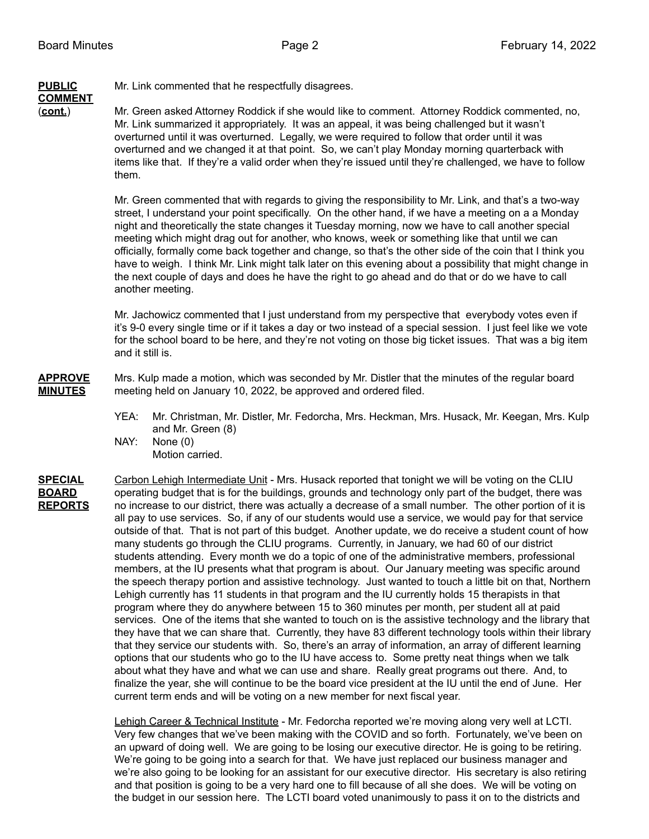# **PUBLIC** Mr. Link commented that he respectfully disagrees.

**COMMENT**

(**cont.**) Mr. Green asked Attorney Roddick if she would like to comment. Attorney Roddick commented, no, Mr. Link summarized it appropriately. It was an appeal, it was being challenged but it wasn't overturned until it was overturned. Legally, we were required to follow that order until it was overturned and we changed it at that point. So, we can't play Monday morning quarterback with items like that. If they're a valid order when they're issued until they're challenged, we have to follow them.

> Mr. Green commented that with regards to giving the responsibility to Mr. Link, and that's a two-way street, I understand your point specifically. On the other hand, if we have a meeting on a a Monday night and theoretically the state changes it Tuesday morning, now we have to call another special meeting which might drag out for another, who knows, week or something like that until we can officially, formally come back together and change, so that's the other side of the coin that I think you have to weigh. I think Mr. Link might talk later on this evening about a possibility that might change in the next couple of days and does he have the right to go ahead and do that or do we have to call another meeting.

> Mr. Jachowicz commented that I just understand from my perspective that everybody votes even if it's 9-0 every single time or if it takes a day or two instead of a special session. I just feel like we vote for the school board to be here, and they're not voting on those big ticket issues. That was a big item and it still is.

**APPROVE** Mrs. Kulp made a motion, which was seconded by Mr. Distler that the minutes of the regular board **MINUTES** meeting held on January 10, 2022, be approved and ordered filed.

- YEA: Mr. Christman, Mr. Distler, Mr. Fedorcha, Mrs. Heckman, Mrs. Husack, Mr. Keegan, Mrs. Kulp and Mr. Green (8)
- NAY: None (0) Motion carried.

**SPECIAL** Carbon Lehigh Intermediate Unit - Mrs. Husack reported that tonight we will be voting on the CLIU **BOARD** operating budget that is for the buildings, grounds and technology only part of the budget, there was **REPORTS** no increase to our district, there was actually a decrease of a small number. The other portion of it is all pay to use services. So, if any of our students would use a service, we would pay for that service outside of that. That is not part of this budget. Another update, we do receive a student count of how many students go through the CLIU programs. Currently, in January, we had 60 of our district students attending. Every month we do a topic of one of the administrative members, professional members, at the IU presents what that program is about. Our January meeting was specific around the speech therapy portion and assistive technology. Just wanted to touch a little bit on that, Northern Lehigh currently has 11 students in that program and the IU currently holds 15 therapists in that program where they do anywhere between 15 to 360 minutes per month, per student all at paid services. One of the items that she wanted to touch on is the assistive technology and the library that they have that we can share that. Currently, they have 83 different technology tools within their library that they service our students with. So, there's an array of information, an array of different learning options that our students who go to the IU have access to. Some pretty neat things when we talk about what they have and what we can use and share. Really great programs out there. And, to finalize the year, she will continue to be the board vice president at the IU until the end of June. Her current term ends and will be voting on a new member for next fiscal year.

> Lehigh Career & Technical Institute - Mr. Fedorcha reported we're moving along very well at LCTI. Very few changes that we've been making with the COVID and so forth. Fortunately, we've been on an upward of doing well. We are going to be losing our executive director. He is going to be retiring. We're going to be going into a search for that. We have just replaced our business manager and we're also going to be looking for an assistant for our executive director. His secretary is also retiring and that position is going to be a very hard one to fill because of all she does. We will be voting on the budget in our session here. The LCTI board voted unanimously to pass it on to the districts and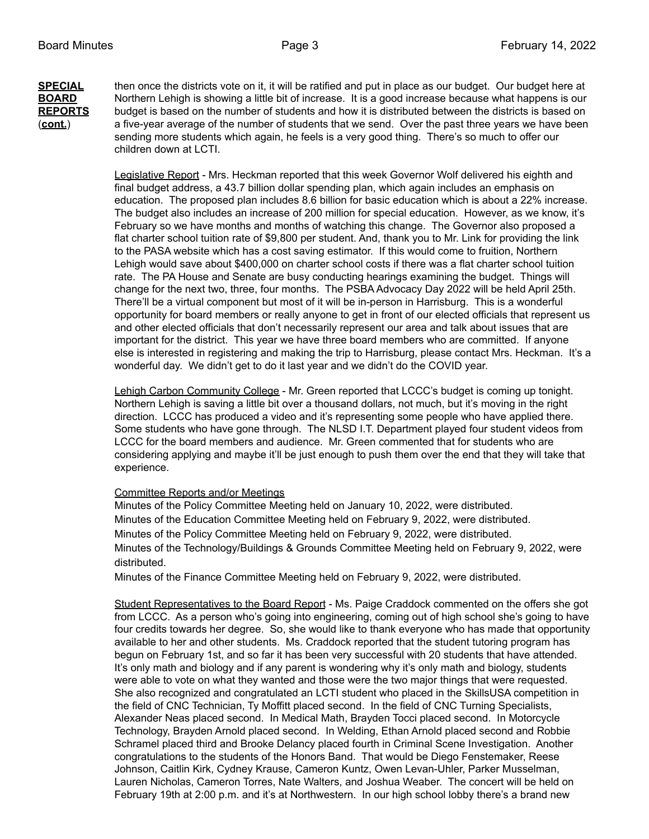**SPECIAL** then once the districts vote on it, it will be ratified and put in place as our budget. Our budget here at **BOARD** Northern Lehigh is showing a little bit of increase. It is a good increase because what happens is our **REPORTS** budget is based on the number of students and how it is distributed between the districts is based on (**cont.**) a five-year average of the number of students that we send. Over the past three years we have been sending more students which again, he feels is a very good thing. There's so much to offer our children down at LCTI.

> Legislative Report - Mrs. Heckman reported that this week Governor Wolf delivered his eighth and final budget address, a 43.7 billion dollar spending plan, which again includes an emphasis on education. The proposed plan includes 8.6 billion for basic education which is about a 22% increase. The budget also includes an increase of 200 million for special education. However, as we know, it's February so we have months and months of watching this change. The Governor also proposed a flat charter school tuition rate of \$9,800 per student. And, thank you to Mr. Link for providing the link to the PASA website which has a cost saving estimator. If this would come to fruition, Northern Lehigh would save about \$400,000 on charter school costs if there was a flat charter school tuition rate. The PA House and Senate are busy conducting hearings examining the budget. Things will change for the next two, three, four months. The PSBA Advocacy Day 2022 will be held April 25th. There'll be a virtual component but most of it will be in-person in Harrisburg. This is a wonderful opportunity for board members or really anyone to get in front of our elected officials that represent us and other elected officials that don't necessarily represent our area and talk about issues that are important for the district. This year we have three board members who are committed. If anyone else is interested in registering and making the trip to Harrisburg, please contact Mrs. Heckman. It's a wonderful day. We didn't get to do it last year and we didn't do the COVID year.

Lehigh Carbon Community College - Mr. Green reported that LCCC's budget is coming up tonight. Northern Lehigh is saving a little bit over a thousand dollars, not much, but it's moving in the right direction. LCCC has produced a video and it's representing some people who have applied there. Some students who have gone through. The NLSD I.T. Department played four student videos from LCCC for the board members and audience. Mr. Green commented that for students who are considering applying and maybe it'll be just enough to push them over the end that they will take that experience.

### Committee Reports and/or Meetings

Minutes of the Policy Committee Meeting held on January 10, 2022, were distributed. Minutes of the Education Committee Meeting held on February 9, 2022, were distributed. Minutes of the Policy Committee Meeting held on February 9, 2022, were distributed. Minutes of the Technology/Buildings & Grounds Committee Meeting held on February 9, 2022, were distributed.

Minutes of the Finance Committee Meeting held on February 9, 2022, were distributed.

Student Representatives to the Board Report - Ms. Paige Craddock commented on the offers she got from LCCC. As a person who's going into engineering, coming out of high school she's going to have four credits towards her degree. So, she would like to thank everyone who has made that opportunity available to her and other students. Ms. Craddock reported that the student tutoring program has begun on February 1st, and so far it has been very successful with 20 students that have attended. It's only math and biology and if any parent is wondering why it's only math and biology, students were able to vote on what they wanted and those were the two major things that were requested. She also recognized and congratulated an LCTI student who placed in the SkillsUSA competition in the field of CNC Technician, Ty Moffitt placed second. In the field of CNC Turning Specialists, Alexander Neas placed second. In Medical Math, Brayden Tocci placed second. In Motorcycle Technology, Brayden Arnold placed second. In Welding, Ethan Arnold placed second and Robbie Schramel placed third and Brooke Delancy placed fourth in Criminal Scene Investigation. Another congratulations to the students of the Honors Band. That would be Diego Fenstemaker, Reese Johnson, Caitlin Kirk, Cydney Krause, Cameron Kuntz, Owen Levan-Uhler, Parker Musselman, Lauren Nicholas, Cameron Torres, Nate Walters, and Joshua Weaber. The concert will be held on February 19th at 2:00 p.m. and it's at Northwestern. In our high school lobby there's a brand new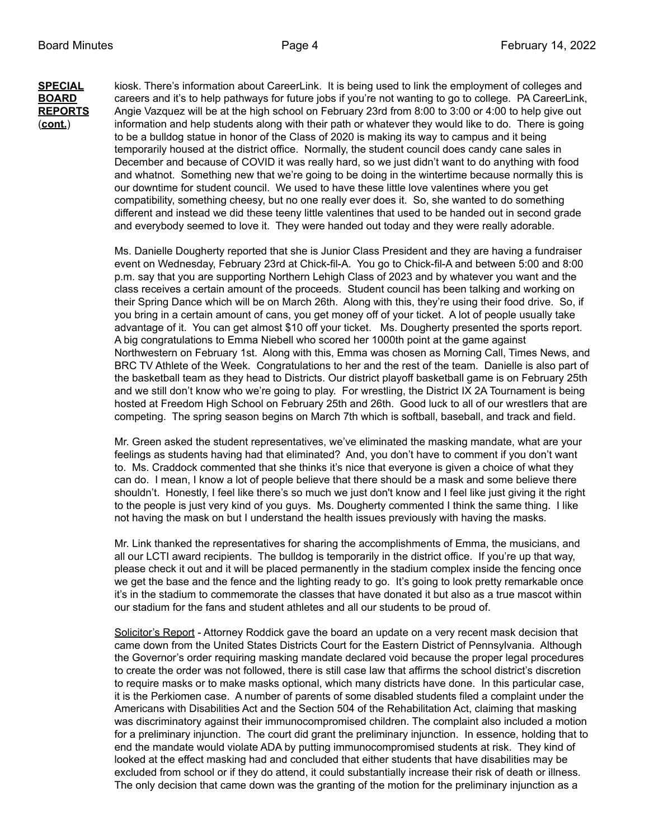**SPECIAL** kiosk. There's information about CareerLink. It is being used to link the employment of colleges and **BOARD** careers and it's to help pathways for future jobs if you're not wanting to go to college. PA CareerLink, **REPORTS** Angie Vazquez will be at the high school on February 23rd from 8:00 to 3:00 or 4:00 to help give out (**cont.**) information and help students along with their path or whatever they would like to do. There is going to be a bulldog statue in honor of the Class of 2020 is making its way to campus and it being temporarily housed at the district office. Normally, the student council does candy cane sales in December and because of COVID it was really hard, so we just didn't want to do anything with food and whatnot. Something new that we're going to be doing in the wintertime because normally this is our downtime for student council. We used to have these little love valentines where you get compatibility, something cheesy, but no one really ever does it. So, she wanted to do something different and instead we did these teeny little valentines that used to be handed out in second grade and everybody seemed to love it. They were handed out today and they were really adorable.

> Ms. Danielle Dougherty reported that she is Junior Class President and they are having a fundraiser event on Wednesday, February 23rd at Chick-fil-A. You go to Chick-fil-A and between 5:00 and 8:00 p.m. say that you are supporting Northern Lehigh Class of 2023 and by whatever you want and the class receives a certain amount of the proceeds. Student council has been talking and working on their Spring Dance which will be on March 26th. Along with this, they're using their food drive. So, if you bring in a certain amount of cans, you get money off of your ticket. A lot of people usually take advantage of it. You can get almost \$10 off your ticket. Ms. Dougherty presented the sports report. A big congratulations to Emma Niebell who scored her 1000th point at the game against Northwestern on February 1st. Along with this, Emma was chosen as Morning Call, Times News, and BRC TV Athlete of the Week. Congratulations to her and the rest of the team. Danielle is also part of the basketball team as they head to Districts. Our district playoff basketball game is on February 25th and we still don't know who we're going to play. For wrestling, the District IX 2A Tournament is being hosted at Freedom High School on February 25th and 26th. Good luck to all of our wrestlers that are competing. The spring season begins on March 7th which is softball, baseball, and track and field.

> Mr. Green asked the student representatives, we've eliminated the masking mandate, what are your feelings as students having had that eliminated? And, you don't have to comment if you don't want to. Ms. Craddock commented that she thinks it's nice that everyone is given a choice of what they can do. I mean, I know a lot of people believe that there should be a mask and some believe there shouldn't. Honestly, I feel like there's so much we just don't know and I feel like just giving it the right to the people is just very kind of you guys. Ms. Dougherty commented I think the same thing. I like not having the mask on but I understand the health issues previously with having the masks.

> Mr. Link thanked the representatives for sharing the accomplishments of Emma, the musicians, and all our LCTI award recipients. The bulldog is temporarily in the district office. If you're up that way, please check it out and it will be placed permanently in the stadium complex inside the fencing once we get the base and the fence and the lighting ready to go. It's going to look pretty remarkable once it's in the stadium to commemorate the classes that have donated it but also as a true mascot within our stadium for the fans and student athletes and all our students to be proud of.

> Solicitor's Report - Attorney Roddick gave the board an update on a very recent mask decision that came down from the United States Districts Court for the Eastern District of Pennsylvania. Although the Governor's order requiring masking mandate declared void because the proper legal procedures to create the order was not followed, there is still case law that affirms the school district's discretion to require masks or to make masks optional, which many districts have done. In this particular case, it is the Perkiomen case. A number of parents of some disabled students filed a complaint under the Americans with Disabilities Act and the Section 504 of the Rehabilitation Act, claiming that masking was discriminatory against their immunocompromised children. The complaint also included a motion for a preliminary injunction. The court did grant the preliminary injunction. In essence, holding that to end the mandate would violate ADA by putting immunocompromised students at risk. They kind of looked at the effect masking had and concluded that either students that have disabilities may be excluded from school or if they do attend, it could substantially increase their risk of death or illness. The only decision that came down was the granting of the motion for the preliminary injunction as a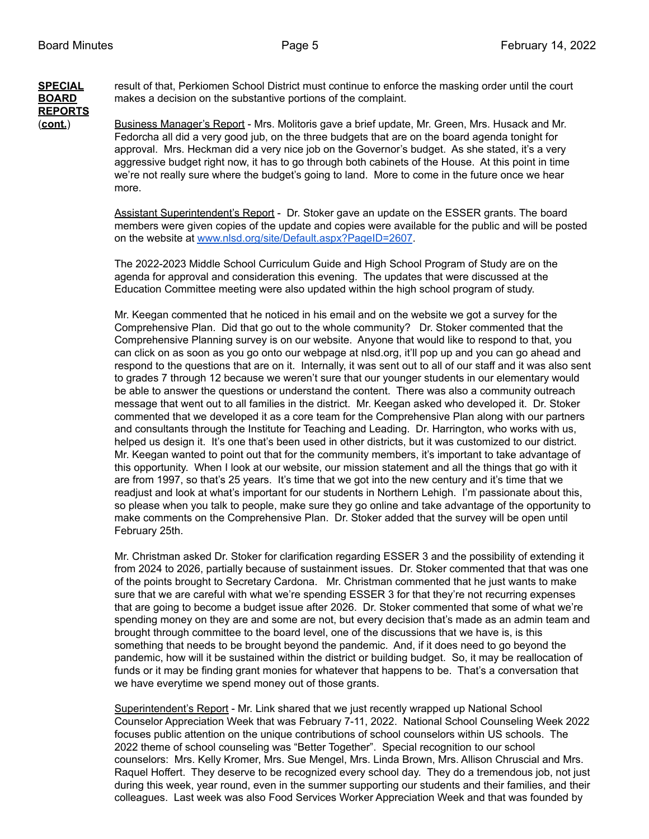**REPORTS**

**SPECIAL** result of that, Perkiomen School District must continue to enforce the masking order until the court **BOARD** makes a decision on the substantive portions of the complaint.

(**cont.**) Business Manager's Report - Mrs. Molitoris gave a brief update, Mr. Green, Mrs. Husack and Mr. Fedorcha all did a very good jub, on the three budgets that are on the board agenda tonight for approval. Mrs. Heckman did a very nice job on the Governor's budget. As she stated, it's a very aggressive budget right now, it has to go through both cabinets of the House. At this point in time we're not really sure where the budget's going to land. More to come in the future once we hear more.

> Assistant Superintendent's Report - Dr. Stoker gave an update on the ESSER grants. The board members were given copies of the update and copies were available for the public and will be posted on the website at [www.nlsd.org/site/Default.aspx?PageID=2607](http://www.nlsd.org/site/Default.aspx?PageID=2607).

The 2022-2023 Middle School Curriculum Guide and High School Program of Study are on the agenda for approval and consideration this evening. The updates that were discussed at the Education Committee meeting were also updated within the high school program of study.

Mr. Keegan commented that he noticed in his email and on the website we got a survey for the Comprehensive Plan. Did that go out to the whole community? Dr. Stoker commented that the Comprehensive Planning survey is on our website. Anyone that would like to respond to that, you can click on as soon as you go onto our webpage at nlsd.org, it'll pop up and you can go ahead and respond to the questions that are on it. Internally, it was sent out to all of our staff and it was also sent to grades 7 through 12 because we weren't sure that our younger students in our elementary would be able to answer the questions or understand the content. There was also a community outreach message that went out to all families in the district. Mr. Keegan asked who developed it. Dr. Stoker commented that we developed it as a core team for the Comprehensive Plan along with our partners and consultants through the Institute for Teaching and Leading. Dr. Harrington, who works with us, helped us design it. It's one that's been used in other districts, but it was customized to our district. Mr. Keegan wanted to point out that for the community members, it's important to take advantage of this opportunity. When I look at our website, our mission statement and all the things that go with it are from 1997, so that's 25 years. It's time that we got into the new century and it's time that we readjust and look at what's important for our students in Northern Lehigh. I'm passionate about this, so please when you talk to people, make sure they go online and take advantage of the opportunity to make comments on the Comprehensive Plan. Dr. Stoker added that the survey will be open until February 25th.

Mr. Christman asked Dr. Stoker for clarification regarding ESSER 3 and the possibility of extending it from 2024 to 2026, partially because of sustainment issues. Dr. Stoker commented that that was one of the points brought to Secretary Cardona. Mr. Christman commented that he just wants to make sure that we are careful with what we're spending ESSER 3 for that they're not recurring expenses that are going to become a budget issue after 2026. Dr. Stoker commented that some of what we're spending money on they are and some are not, but every decision that's made as an admin team and brought through committee to the board level, one of the discussions that we have is, is this something that needs to be brought beyond the pandemic. And, if it does need to go beyond the pandemic, how will it be sustained within the district or building budget. So, it may be reallocation of funds or it may be finding grant monies for whatever that happens to be. That's a conversation that we have everytime we spend money out of those grants.

Superintendent's Report - Mr. Link shared that we just recently wrapped up National School Counselor Appreciation Week that was February 7-11, 2022. National School Counseling Week 2022 focuses public attention on the unique contributions of school counselors within US schools. The 2022 theme of school counseling was "Better Together". Special recognition to our school counselors: Mrs. Kelly Kromer, Mrs. Sue Mengel, Mrs. Linda Brown, Mrs. Allison Chruscial and Mrs. Raquel Hoffert. They deserve to be recognized every school day. They do a tremendous job, not just during this week, year round, even in the summer supporting our students and their families, and their colleagues. Last week was also Food Services Worker Appreciation Week and that was founded by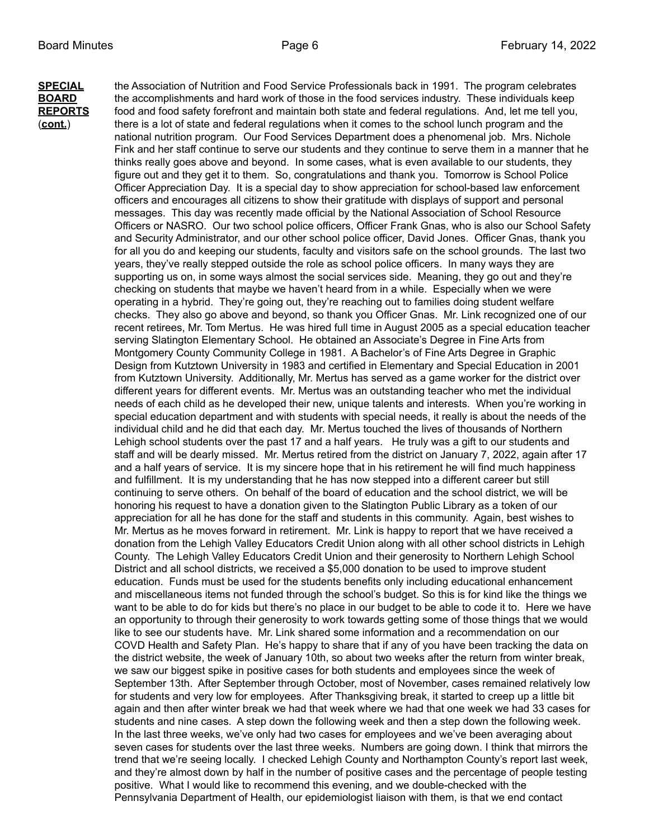**SPECIAL** the Association of Nutrition and Food Service Professionals back in 1991. The program celebrates **BOARD** the accomplishments and hard work of those in the food services industry. These individuals keep **REPORTS** food and food safety forefront and maintain both state and federal regulations. And, let me tell you, (**cont.**) there is a lot of state and federal regulations when it comes to the school lunch program and the national nutrition program. Our Food Services Department does a phenomenal job. Mrs. Nichole Fink and her staff continue to serve our students and they continue to serve them in a manner that he thinks really goes above and beyond. In some cases, what is even available to our students, they figure out and they get it to them. So, congratulations and thank you. Tomorrow is School Police Officer Appreciation Day. It is a special day to show appreciation for school-based law enforcement officers and encourages all citizens to show their gratitude with displays of support and personal messages. This day was recently made official by the National Association of School Resource Officers or NASRO. Our two school police officers, Officer Frank Gnas, who is also our School Safety and Security Administrator, and our other school police officer, David Jones. Officer Gnas, thank you for all you do and keeping our students, faculty and visitors safe on the school grounds. The last two years, they've really stepped outside the role as school police officers. In many ways they are supporting us on, in some ways almost the social services side. Meaning, they go out and they're checking on students that maybe we haven't heard from in a while. Especially when we were operating in a hybrid. They're going out, they're reaching out to families doing student welfare checks. They also go above and beyond, so thank you Officer Gnas. Mr. Link recognized one of our recent retirees, Mr. Tom Mertus. He was hired full time in August 2005 as a special education teacher serving Slatington Elementary School. He obtained an Associate's Degree in Fine Arts from Montgomery County Community College in 1981. A Bachelor's of Fine Arts Degree in Graphic Design from Kutztown University in 1983 and certified in Elementary and Special Education in 2001 from Kutztown University. Additionally, Mr. Mertus has served as a game worker for the district over different years for different events. Mr. Mertus was an outstanding teacher who met the individual needs of each child as he developed their new, unique talents and interests. When you're working in special education department and with students with special needs, it really is about the needs of the individual child and he did that each day. Mr. Mertus touched the lives of thousands of Northern Lehigh school students over the past 17 and a half years. He truly was a gift to our students and staff and will be dearly missed. Mr. Mertus retired from the district on January 7, 2022, again after 17 and a half years of service. It is my sincere hope that in his retirement he will find much happiness and fulfillment. It is my understanding that he has now stepped into a different career but still continuing to serve others. On behalf of the board of education and the school district, we will be honoring his request to have a donation given to the Slatington Public Library as a token of our appreciation for all he has done for the staff and students in this community. Again, best wishes to Mr. Mertus as he moves forward in retirement. Mr. Link is happy to report that we have received a donation from the Lehigh Valley Educators Credit Union along with all other school districts in Lehigh County. The Lehigh Valley Educators Credit Union and their generosity to Northern Lehigh School District and all school districts, we received a \$5,000 donation to be used to improve student education. Funds must be used for the students benefits only including educational enhancement and miscellaneous items not funded through the school's budget. So this is for kind like the things we want to be able to do for kids but there's no place in our budget to be able to code it to. Here we have an opportunity to through their generosity to work towards getting some of those things that we would like to see our students have. Mr. Link shared some information and a recommendation on our COVD Health and Safety Plan. He's happy to share that if any of you have been tracking the data on the district website, the week of January 10th, so about two weeks after the return from winter break, we saw our biggest spike in positive cases for both students and employees since the week of September 13th. After September through October, most of November, cases remained relatively low for students and very low for employees. After Thanksgiving break, it started to creep up a little bit again and then after winter break we had that week where we had that one week we had 33 cases for students and nine cases. A step down the following week and then a step down the following week. In the last three weeks, we've only had two cases for employees and we've been averaging about seven cases for students over the last three weeks. Numbers are going down. I think that mirrors the trend that we're seeing locally. I checked Lehigh County and Northampton County's report last week, and they're almost down by half in the number of positive cases and the percentage of people testing positive. What I would like to recommend this evening, and we double-checked with the Pennsylvania Department of Health, our epidemiologist liaison with them, is that we end contact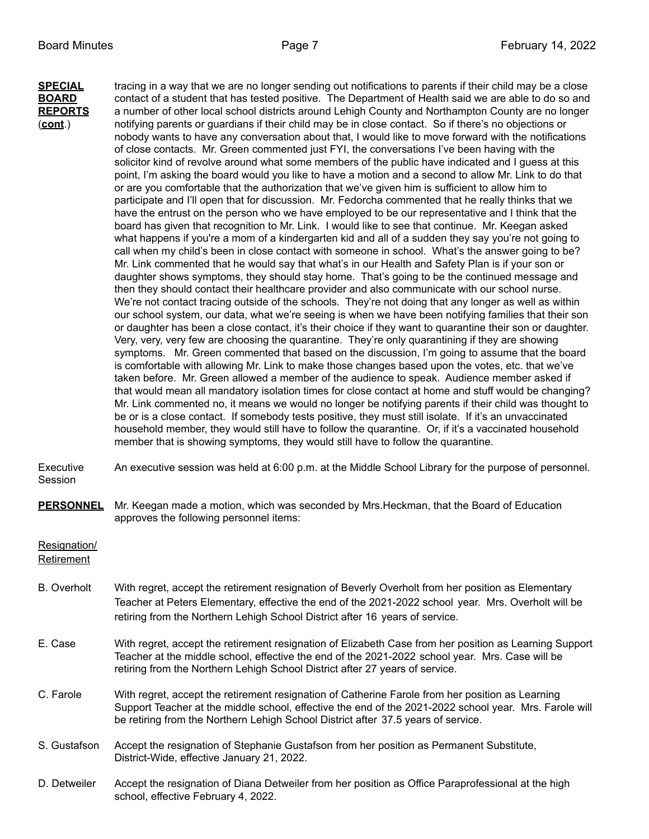**SPECIAL** tracing in a way that we are no longer sending out notifications to parents if their child may be a close **BOARD** contact of a student that has tested positive. The Department of Health said we are able to do so and **REPORTS** a number of other local school districts around Lehigh County and Northampton County are no longer (**cont**.) notifying parents or guardians if their child may be in close contact. So if there's no objections or nobody wants to have any conversation about that, I would like to move forward with the notifications of close contacts. Mr. Green commented just FYI, the conversations I've been having with the solicitor kind of revolve around what some members of the public have indicated and I guess at this point, I'm asking the board would you like to have a motion and a second to allow Mr. Link to do that or are you comfortable that the authorization that we've given him is sufficient to allow him to participate and I'll open that for discussion. Mr. Fedorcha commented that he really thinks that we have the entrust on the person who we have employed to be our representative and I think that the board has given that recognition to Mr. Link. I would like to see that continue. Mr. Keegan asked what happens if you're a mom of a kindergarten kid and all of a sudden they say you're not going to call when my child's been in close contact with someone in school. What's the answer going to be? Mr. Link commented that he would say that what's in our Health and Safety Plan is if your son or daughter shows symptoms, they should stay home. That's going to be the continued message and then they should contact their healthcare provider and also communicate with our school nurse. We're not contact tracing outside of the schools. They're not doing that any longer as well as within our school system, our data, what we're seeing is when we have been notifying families that their son or daughter has been a close contact, it's their choice if they want to quarantine their son or daughter. Very, very, very few are choosing the quarantine. They're only quarantining if they are showing symptoms. Mr. Green commented that based on the discussion, I'm going to assume that the board is comfortable with allowing Mr. Link to make those changes based upon the votes, etc. that we've taken before. Mr. Green allowed a member of the audience to speak. Audience member asked if that would mean all mandatory isolation times for close contact at home and stuff would be changing? Mr. Link commented no, it means we would no longer be notifying parents if their child was thought to be or is a close contact. If somebody tests positive, they must still isolate. If it's an unvaccinated household member, they would still have to follow the quarantine. Or, if it's a vaccinated household member that is showing symptoms, they would still have to follow the quarantine.

Executive An executive session was held at 6:00 p.m. at the Middle School Library for the purpose of personnel. Session

**PERSONNEL** Mr. Keegan made a motion, which was seconded by Mrs.Heckman, that the Board of Education approves the following personnel items:

Resignation/

Retirement

- B. Overholt With regret, accept the retirement resignation of Beverly Overholt from her position as Elementary Teacher at Peters Elementary, effective the end of the 2021-2022 school year. Mrs. Overholt will be retiring from the Northern Lehigh School District after 16 years of service.
- E. Case With regret, accept the retirement resignation of Elizabeth Case from her position as Learning Support Teacher at the middle school, effective the end of the 2021-2022 school year. Mrs. Case will be retiring from the Northern Lehigh School District after 27 years of service.
- C. Farole With regret, accept the retirement resignation of Catherine Farole from her position as Learning Support Teacher at the middle school, effective the end of the 2021-2022 school year. Mrs. Farole will be retiring from the Northern Lehigh School District after 37.5 years of service.
- S. Gustafson Accept the resignation of Stephanie Gustafson from her position as Permanent Substitute, District-Wide, effective January 21, 2022.
- D. Detweiler Accept the resignation of Diana Detweiler from her position as Office Paraprofessional at the high school, effective February 4, 2022.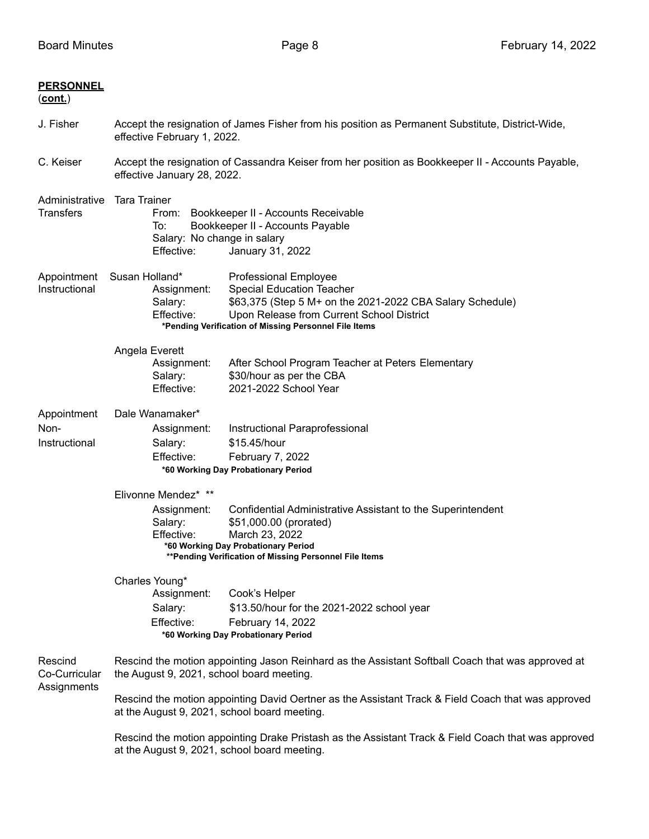| <b>PERSONNEL</b><br><u>(cont.)</u>      |                                                                                                                                                                                                                                                           |                                                                                                                                                                                                                                     |  |  |
|-----------------------------------------|-----------------------------------------------------------------------------------------------------------------------------------------------------------------------------------------------------------------------------------------------------------|-------------------------------------------------------------------------------------------------------------------------------------------------------------------------------------------------------------------------------------|--|--|
| J. Fisher                               | Accept the resignation of James Fisher from his position as Permanent Substitute, District-Wide,<br>effective February 1, 2022.                                                                                                                           |                                                                                                                                                                                                                                     |  |  |
| C. Keiser                               | Accept the resignation of Cassandra Keiser from her position as Bookkeeper II - Accounts Payable,<br>effective January 28, 2022.                                                                                                                          |                                                                                                                                                                                                                                     |  |  |
| Administrative<br><b>Transfers</b>      | <b>Tara Trainer</b><br>Bookkeeper II - Accounts Receivable<br>From:<br>Bookkeeper II - Accounts Payable<br>To:<br>Salary: No change in salary<br>Effective:<br>January 31, 2022                                                                           |                                                                                                                                                                                                                                     |  |  |
| Appointment<br>Instructional            | Susan Holland*<br>Assignment:<br>Salary:<br>Effective:                                                                                                                                                                                                    | <b>Professional Employee</b><br><b>Special Education Teacher</b><br>\$63,375 (Step 5 M+ on the 2021-2022 CBA Salary Schedule)<br>Upon Release from Current School District<br>*Pending Verification of Missing Personnel File Items |  |  |
|                                         | Angela Everett<br>Assignment:<br>Salary:<br>Effective:                                                                                                                                                                                                    | After School Program Teacher at Peters Elementary<br>\$30/hour as per the CBA<br>2021-2022 School Year                                                                                                                              |  |  |
| Appointment<br>Non-<br>Instructional    | Dale Wanamaker*<br>Assignment:<br>Salary:<br>Effective:                                                                                                                                                                                                   | Instructional Paraprofessional<br>\$15.45/hour<br>February 7, 2022<br>*60 Working Day Probationary Period                                                                                                                           |  |  |
|                                         | Elivonne Mendez* **<br>Assignment:<br>Salary:<br>Effective:                                                                                                                                                                                               | Confidential Administrative Assistant to the Superintendent<br>\$51,000.00 (prorated)<br>March 23, 2022<br>*60 Working Day Probationary Period<br>** Pending Verification of Missing Personnel File Items                           |  |  |
|                                         | Charles Young*<br>Assignment:<br>Salary:<br>Effective:                                                                                                                                                                                                    | Cook's Helper<br>\$13.50/hour for the 2021-2022 school year<br>February 14, 2022<br>*60 Working Day Probationary Period                                                                                                             |  |  |
| Rescind<br>Co-Curricular<br>Assignments | Rescind the motion appointing Jason Reinhard as the Assistant Softball Coach that was approved at<br>the August 9, 2021, school board meeting.                                                                                                            |                                                                                                                                                                                                                                     |  |  |
|                                         | Rescind the motion appointing David Oertner as the Assistant Track & Field Coach that was approved<br>at the August 9, 2021, school board meeting.<br>Rescind the motion appointing Drake Pristash as the Assistant Track & Field Coach that was approved |                                                                                                                                                                                                                                     |  |  |
|                                         | at the August 9, 2021, school board meeting.                                                                                                                                                                                                              |                                                                                                                                                                                                                                     |  |  |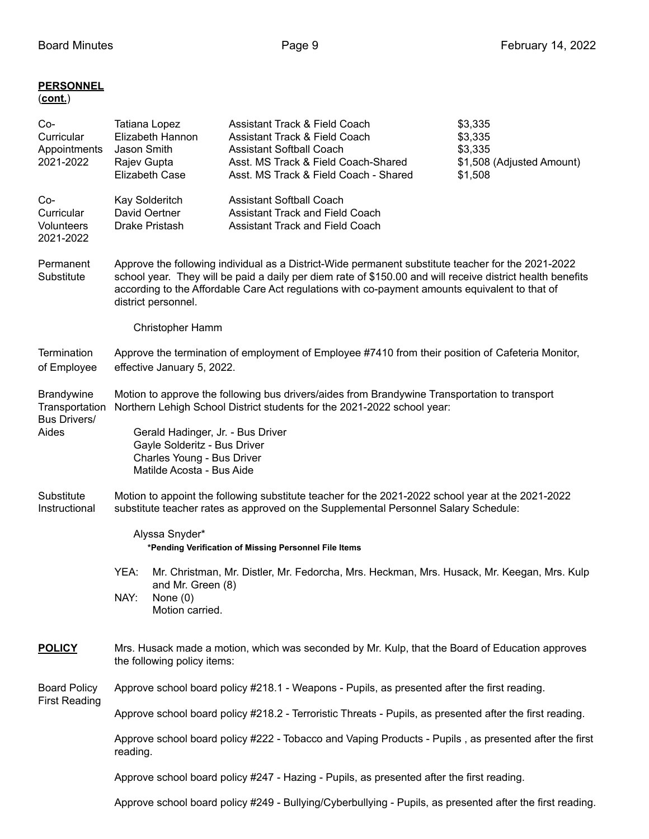## **PERSONNEL** (**cont.**)

| Co-<br>Curricular<br>Appointments<br>2021-2022                      | Tatiana Lopez<br>Jason Smith<br>Rajev Gupta<br><b>Elizabeth Case</b>                                                                                                                                                                                                                                                                      | Elizabeth Hannon                                   | Assistant Track & Field Coach<br><b>Assistant Track &amp; Field Coach</b><br><b>Assistant Softball Coach</b><br>Asst. MS Track & Field Coach-Shared<br>Asst. MS Track & Field Coach - Shared |  | \$3,335<br>\$3,335<br>\$3,335<br>\$1,508 (Adjusted Amount)<br>\$1,508                      |  |
|---------------------------------------------------------------------|-------------------------------------------------------------------------------------------------------------------------------------------------------------------------------------------------------------------------------------------------------------------------------------------------------------------------------------------|----------------------------------------------------|----------------------------------------------------------------------------------------------------------------------------------------------------------------------------------------------|--|--------------------------------------------------------------------------------------------|--|
| Co-<br>Curricular<br><b>Volunteers</b><br>2021-2022                 | Kay Solderitch<br>David Oertner<br>Drake Pristash                                                                                                                                                                                                                                                                                         |                                                    | <b>Assistant Softball Coach</b><br><b>Assistant Track and Field Coach</b><br><b>Assistant Track and Field Coach</b>                                                                          |  |                                                                                            |  |
| Permanent<br>Substitute                                             | Approve the following individual as a District-Wide permanent substitute teacher for the 2021-2022<br>school year. They will be paid a daily per diem rate of \$150.00 and will receive district health benefits<br>according to the Affordable Care Act regulations with co-payment amounts equivalent to that of<br>district personnel. |                                                    |                                                                                                                                                                                              |  |                                                                                            |  |
|                                                                     |                                                                                                                                                                                                                                                                                                                                           | Christopher Hamm                                   |                                                                                                                                                                                              |  |                                                                                            |  |
| <b>Termination</b><br>of Employee                                   | Approve the termination of employment of Employee #7410 from their position of Cafeteria Monitor,<br>effective January 5, 2022.                                                                                                                                                                                                           |                                                    |                                                                                                                                                                                              |  |                                                                                            |  |
| <b>Brandywine</b><br>Transportation<br><b>Bus Drivers/</b><br>Aides | Motion to approve the following bus drivers/aides from Brandywine Transportation to transport<br>Northern Lehigh School District students for the 2021-2022 school year:                                                                                                                                                                  |                                                    |                                                                                                                                                                                              |  |                                                                                            |  |
|                                                                     | Gerald Hadinger, Jr. - Bus Driver<br>Gayle Solderitz - Bus Driver<br>Charles Young - Bus Driver<br>Matilde Acosta - Bus Aide                                                                                                                                                                                                              |                                                    |                                                                                                                                                                                              |  |                                                                                            |  |
| Substitute<br>Instructional                                         | Motion to appoint the following substitute teacher for the 2021-2022 school year at the 2021-2022<br>substitute teacher rates as approved on the Supplemental Personnel Salary Schedule:                                                                                                                                                  |                                                    |                                                                                                                                                                                              |  |                                                                                            |  |
|                                                                     | Alyssa Snyder*<br>*Pending Verification of Missing Personnel File Items                                                                                                                                                                                                                                                                   |                                                    |                                                                                                                                                                                              |  |                                                                                            |  |
|                                                                     | YEA:<br>NAY:                                                                                                                                                                                                                                                                                                                              | and Mr. Green (8)<br>None $(0)$<br>Motion carried. |                                                                                                                                                                                              |  | Mr. Christman, Mr. Distler, Mr. Fedorcha, Mrs. Heckman, Mrs. Husack, Mr. Keegan, Mrs. Kulp |  |
| <b>POLICY</b>                                                       | Mrs. Husack made a motion, which was seconded by Mr. Kulp, that the Board of Education approves<br>the following policy items:                                                                                                                                                                                                            |                                                    |                                                                                                                                                                                              |  |                                                                                            |  |
| <b>Board Policy</b>                                                 | Approve school board policy #218.1 - Weapons - Pupils, as presented after the first reading.                                                                                                                                                                                                                                              |                                                    |                                                                                                                                                                                              |  |                                                                                            |  |
| <b>First Reading</b>                                                | Approve school board policy #218.2 - Terroristic Threats - Pupils, as presented after the first reading.                                                                                                                                                                                                                                  |                                                    |                                                                                                                                                                                              |  |                                                                                            |  |
|                                                                     | Approve school board policy #222 - Tobacco and Vaping Products - Pupils, as presented after the first<br>reading.                                                                                                                                                                                                                         |                                                    |                                                                                                                                                                                              |  |                                                                                            |  |
|                                                                     | Approve school board policy #247 - Hazing - Pupils, as presented after the first reading.                                                                                                                                                                                                                                                 |                                                    |                                                                                                                                                                                              |  |                                                                                            |  |
|                                                                     | Approve school board policy #249 - Bullying/Cyberbullying - Pupils, as presented after the first reading.                                                                                                                                                                                                                                 |                                                    |                                                                                                                                                                                              |  |                                                                                            |  |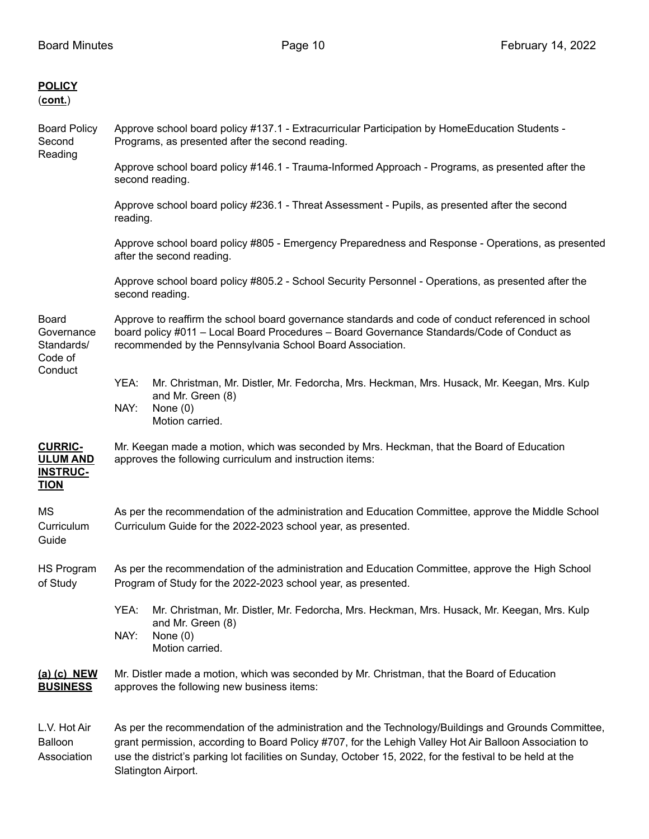| <b>POLICY</b><br>(cont.)                                            |                                                                                                                                                                                                                                                                                                                            |  |  |  |  |
|---------------------------------------------------------------------|----------------------------------------------------------------------------------------------------------------------------------------------------------------------------------------------------------------------------------------------------------------------------------------------------------------------------|--|--|--|--|
| <b>Board Policy</b><br>Second<br>Reading                            | Approve school board policy #137.1 - Extracurricular Participation by HomeEducation Students -<br>Programs, as presented after the second reading.                                                                                                                                                                         |  |  |  |  |
|                                                                     | Approve school board policy #146.1 - Trauma-Informed Approach - Programs, as presented after the<br>second reading.                                                                                                                                                                                                        |  |  |  |  |
|                                                                     | Approve school board policy #236.1 - Threat Assessment - Pupils, as presented after the second<br>reading.                                                                                                                                                                                                                 |  |  |  |  |
|                                                                     | Approve school board policy #805 - Emergency Preparedness and Response - Operations, as presented<br>after the second reading.                                                                                                                                                                                             |  |  |  |  |
|                                                                     | Approve school board policy #805.2 - School Security Personnel - Operations, as presented after the<br>second reading.                                                                                                                                                                                                     |  |  |  |  |
| <b>Board</b><br>Governance<br>Standards/<br>Code of<br>Conduct      | Approve to reaffirm the school board governance standards and code of conduct referenced in school<br>board policy #011 - Local Board Procedures - Board Governance Standards/Code of Conduct as<br>recommended by the Pennsylvania School Board Association.                                                              |  |  |  |  |
|                                                                     | YEA:<br>Mr. Christman, Mr. Distler, Mr. Fedorcha, Mrs. Heckman, Mrs. Husack, Mr. Keegan, Mrs. Kulp<br>and Mr. Green (8)<br>NAY:<br>None $(0)$<br>Motion carried.                                                                                                                                                           |  |  |  |  |
| <b>CURRIC-</b><br><b>ULUM AND</b><br><b>INSTRUC-</b><br><b>TION</b> | Mr. Keegan made a motion, which was seconded by Mrs. Heckman, that the Board of Education<br>approves the following curriculum and instruction items:                                                                                                                                                                      |  |  |  |  |
| МS<br>Curriculum<br>Guide                                           | As per the recommendation of the administration and Education Committee, approve the Middle School<br>Curriculum Guide for the 2022-2023 school year, as presented.                                                                                                                                                        |  |  |  |  |
| <b>HS Program</b><br>of Study                                       | As per the recommendation of the administration and Education Committee, approve the High School<br>Program of Study for the 2022-2023 school year, as presented.                                                                                                                                                          |  |  |  |  |
|                                                                     | YEA:<br>Mr. Christman, Mr. Distler, Mr. Fedorcha, Mrs. Heckman, Mrs. Husack, Mr. Keegan, Mrs. Kulp<br>and Mr. Green (8)<br>NAY:<br>None $(0)$<br>Motion carried.                                                                                                                                                           |  |  |  |  |
| (a) (c) NEW<br><b>BUSINESS</b>                                      | Mr. Distler made a motion, which was seconded by Mr. Christman, that the Board of Education<br>approves the following new business items:                                                                                                                                                                                  |  |  |  |  |
| L.V. Hot Air<br>Balloon<br>Association                              | As per the recommendation of the administration and the Technology/Buildings and Grounds Committee,<br>grant permission, according to Board Policy #707, for the Lehigh Valley Hot Air Balloon Association to<br>use the district's parking lot facilities on Sunday, October 15, 2022, for the festival to be held at the |  |  |  |  |

Slatington Airport.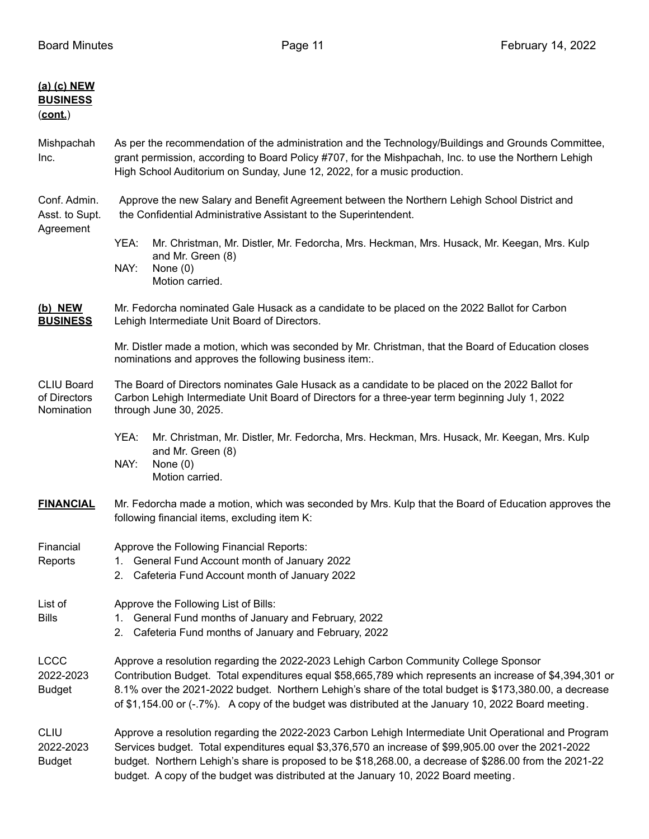| (a) (c) NEW<br><b>BUSINESS</b><br>(cont.)       |                                                                                                                                                                                                                                                                                                                                                                                                                      |  |  |  |  |
|-------------------------------------------------|----------------------------------------------------------------------------------------------------------------------------------------------------------------------------------------------------------------------------------------------------------------------------------------------------------------------------------------------------------------------------------------------------------------------|--|--|--|--|
| Mishpachah<br>Inc.                              | As per the recommendation of the administration and the Technology/Buildings and Grounds Committee,<br>grant permission, according to Board Policy #707, for the Mishpachah, Inc. to use the Northern Lehigh<br>High School Auditorium on Sunday, June 12, 2022, for a music production.                                                                                                                             |  |  |  |  |
| Conf. Admin.<br>Asst. to Supt.<br>Agreement     | Approve the new Salary and Benefit Agreement between the Northern Lehigh School District and<br>the Confidential Administrative Assistant to the Superintendent.                                                                                                                                                                                                                                                     |  |  |  |  |
|                                                 | YEA:<br>Mr. Christman, Mr. Distler, Mr. Fedorcha, Mrs. Heckman, Mrs. Husack, Mr. Keegan, Mrs. Kulp<br>and Mr. Green (8)<br>NAY:<br>None $(0)$<br>Motion carried.                                                                                                                                                                                                                                                     |  |  |  |  |
| (b) NEW<br><b>BUSINESS</b>                      | Mr. Fedorcha nominated Gale Husack as a candidate to be placed on the 2022 Ballot for Carbon<br>Lehigh Intermediate Unit Board of Directors.                                                                                                                                                                                                                                                                         |  |  |  |  |
|                                                 | Mr. Distler made a motion, which was seconded by Mr. Christman, that the Board of Education closes<br>nominations and approves the following business item:.                                                                                                                                                                                                                                                         |  |  |  |  |
| <b>CLIU Board</b><br>of Directors<br>Nomination | The Board of Directors nominates Gale Husack as a candidate to be placed on the 2022 Ballot for<br>Carbon Lehigh Intermediate Unit Board of Directors for a three-year term beginning July 1, 2022<br>through June 30, 2025.                                                                                                                                                                                         |  |  |  |  |
|                                                 | YEA:<br>Mr. Christman, Mr. Distler, Mr. Fedorcha, Mrs. Heckman, Mrs. Husack, Mr. Keegan, Mrs. Kulp<br>and Mr. Green (8)<br>NAY:<br>None $(0)$<br>Motion carried.                                                                                                                                                                                                                                                     |  |  |  |  |
| <b>FINANCIAL</b>                                | Mr. Fedorcha made a motion, which was seconded by Mrs. Kulp that the Board of Education approves the<br>following financial items, excluding item K:                                                                                                                                                                                                                                                                 |  |  |  |  |
| Financial<br>Reports                            | Approve the Following Financial Reports:<br>1.<br>General Fund Account month of January 2022<br>Cafeteria Fund Account month of January 2022<br>2.                                                                                                                                                                                                                                                                   |  |  |  |  |
| List of<br><b>Bills</b>                         | Approve the Following List of Bills:<br>1. General Fund months of January and February, 2022<br>Cafeteria Fund months of January and February, 2022<br>2.                                                                                                                                                                                                                                                            |  |  |  |  |
| <b>LCCC</b><br>2022-2023<br><b>Budget</b>       | Approve a resolution regarding the 2022-2023 Lehigh Carbon Community College Sponsor<br>Contribution Budget. Total expenditures equal \$58,665,789 which represents an increase of \$4,394,301 or<br>8.1% over the 2021-2022 budget. Northern Lehigh's share of the total budget is \$173,380.00, a decrease<br>of \$1,154.00 or (-.7%). A copy of the budget was distributed at the January 10, 2022 Board meeting. |  |  |  |  |
| <b>CLIU</b><br>2022-2023<br><b>Budget</b>       | Approve a resolution regarding the 2022-2023 Carbon Lehigh Intermediate Unit Operational and Program<br>Services budget. Total expenditures equal \$3,376,570 an increase of \$99,905.00 over the 2021-2022<br>budget. Northern Lehigh's share is proposed to be \$18,268.00, a decrease of \$286.00 from the 2021-22<br>budget. A copy of the budget was distributed at the January 10, 2022 Board meeting.         |  |  |  |  |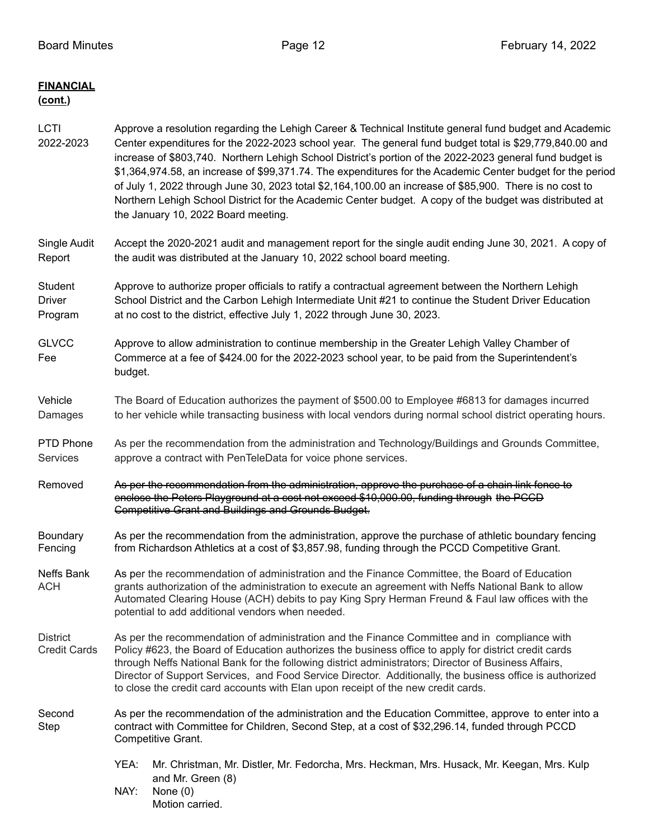| <b>FINANCIAL</b><br>(cont.)            |                                                                                                                                                                                                                                                                                                                                                                                                                                                                                                                                                                                                                                                                                                           |  |  |  |
|----------------------------------------|-----------------------------------------------------------------------------------------------------------------------------------------------------------------------------------------------------------------------------------------------------------------------------------------------------------------------------------------------------------------------------------------------------------------------------------------------------------------------------------------------------------------------------------------------------------------------------------------------------------------------------------------------------------------------------------------------------------|--|--|--|
| <b>LCTI</b><br>2022-2023               | Approve a resolution regarding the Lehigh Career & Technical Institute general fund budget and Academic<br>Center expenditures for the 2022-2023 school year. The general fund budget total is \$29,779,840.00 and<br>increase of \$803,740. Northern Lehigh School District's portion of the 2022-2023 general fund budget is<br>\$1,364,974.58, an increase of \$99,371.74. The expenditures for the Academic Center budget for the period<br>of July 1, 2022 through June 30, 2023 total \$2,164,100.00 an increase of \$85,900. There is no cost to<br>Northern Lehigh School District for the Academic Center budget. A copy of the budget was distributed at<br>the January 10, 2022 Board meeting. |  |  |  |
| Single Audit<br>Report                 | Accept the 2020-2021 audit and management report for the single audit ending June 30, 2021. A copy of<br>the audit was distributed at the January 10, 2022 school board meeting.                                                                                                                                                                                                                                                                                                                                                                                                                                                                                                                          |  |  |  |
| Student<br><b>Driver</b><br>Program    | Approve to authorize proper officials to ratify a contractual agreement between the Northern Lehigh<br>School District and the Carbon Lehigh Intermediate Unit #21 to continue the Student Driver Education<br>at no cost to the district, effective July 1, 2022 through June 30, 2023.                                                                                                                                                                                                                                                                                                                                                                                                                  |  |  |  |
| <b>GLVCC</b><br>Fee                    | Approve to allow administration to continue membership in the Greater Lehigh Valley Chamber of<br>Commerce at a fee of \$424.00 for the 2022-2023 school year, to be paid from the Superintendent's<br>budget.                                                                                                                                                                                                                                                                                                                                                                                                                                                                                            |  |  |  |
| Vehicle<br>Damages                     | The Board of Education authorizes the payment of \$500.00 to Employee #6813 for damages incurred<br>to her vehicle while transacting business with local vendors during normal school district operating hours.                                                                                                                                                                                                                                                                                                                                                                                                                                                                                           |  |  |  |
| PTD Phone<br><b>Services</b>           | As per the recommendation from the administration and Technology/Buildings and Grounds Committee,<br>approve a contract with PenTeleData for voice phone services.                                                                                                                                                                                                                                                                                                                                                                                                                                                                                                                                        |  |  |  |
| Removed                                | As per the recommendation from the administration, approve the purchase of a chain link fence to<br>enclose the Peters Playground at a cost not exceed \$10,000.00, funding through the PGGD<br><b>Competitive Grant and Buildings and Grounds Budget.</b>                                                                                                                                                                                                                                                                                                                                                                                                                                                |  |  |  |
| Boundary<br>Fencing                    | As per the recommendation from the administration, approve the purchase of athletic boundary fencing<br>from Richardson Athletics at a cost of \$3,857.98, funding through the PCCD Competitive Grant.                                                                                                                                                                                                                                                                                                                                                                                                                                                                                                    |  |  |  |
| Neffs Bank<br><b>ACH</b>               | As per the recommendation of administration and the Finance Committee, the Board of Education<br>grants authorization of the administration to execute an agreement with Neffs National Bank to allow<br>Automated Clearing House (ACH) debits to pay King Spry Herman Freund & Faul law offices with the<br>potential to add additional vendors when needed.                                                                                                                                                                                                                                                                                                                                             |  |  |  |
| <b>District</b><br><b>Credit Cards</b> | As per the recommendation of administration and the Finance Committee and in compliance with<br>Policy #623, the Board of Education authorizes the business office to apply for district credit cards<br>through Neffs National Bank for the following district administrators; Director of Business Affairs,<br>Director of Support Services, and Food Service Director. Additionally, the business office is authorized<br>to close the credit card accounts with Elan upon receipt of the new credit cards.                                                                                                                                                                                            |  |  |  |
| Second<br>Step                         | As per the recommendation of the administration and the Education Committee, approve to enter into a<br>contract with Committee for Children, Second Step, at a cost of \$32,296.14, funded through PCCD<br>Competitive Grant.                                                                                                                                                                                                                                                                                                                                                                                                                                                                            |  |  |  |
|                                        | YEA:<br>Mr. Christman, Mr. Distler, Mr. Fedorcha, Mrs. Heckman, Mrs. Husack, Mr. Keegan, Mrs. Kulp<br>and Mr. Green (8)<br>NAY:<br>None $(0)$                                                                                                                                                                                                                                                                                                                                                                                                                                                                                                                                                             |  |  |  |

Motion carried.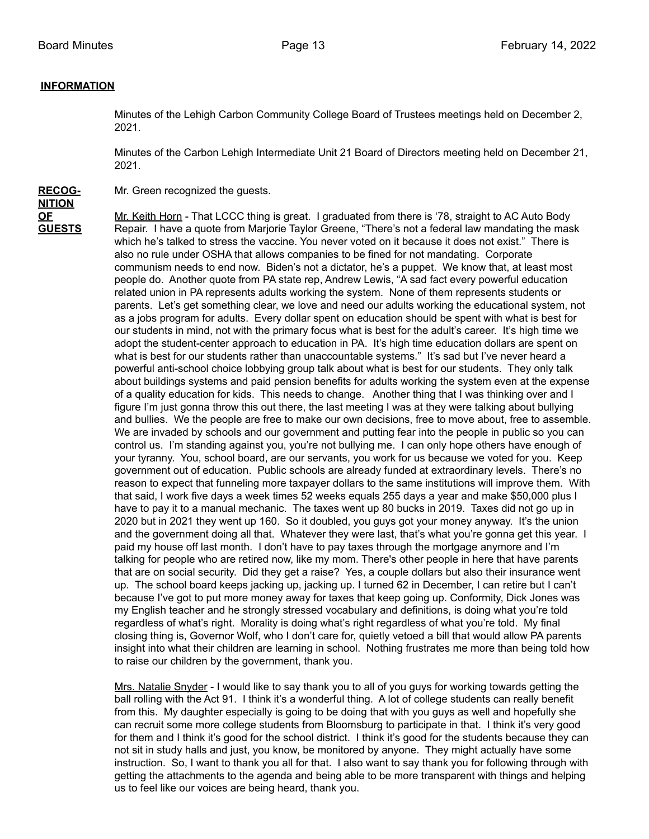### **INFORMATION**

Minutes of the Lehigh Carbon Community College Board of Trustees meetings held on December 2, 2021.

Minutes of the Carbon Lehigh Intermediate Unit 21 Board of Directors meeting held on December 21, 2021.

**RECOG-** Mr. Green recognized the guests. **NITION**

**OF** Mr. Keith Horn - That LCCC thing is great. I graduated from there is '78, straight to AC Auto Body **GUESTS** Repair. I have a quote from Marjorie Taylor Greene, "There's not a federal law mandating the mask which he's talked to stress the vaccine. You never voted on it because it does not exist." There is also no rule under OSHA that allows companies to be fined for not mandating. Corporate communism needs to end now. Biden's not a dictator, he's a puppet. We know that, at least most people do. Another quote from PA state rep, Andrew Lewis, "A sad fact every powerful education related union in PA represents adults working the system. None of them represents students or parents. Let's get something clear, we love and need our adults working the educational system, not as a jobs program for adults. Every dollar spent on education should be spent with what is best for our students in mind, not with the primary focus what is best for the adult's career. It's high time we adopt the student-center approach to education in PA. It's high time education dollars are spent on what is best for our students rather than unaccountable systems." It's sad but I've never heard a powerful anti-school choice lobbying group talk about what is best for our students. They only talk about buildings systems and paid pension benefits for adults working the system even at the expense of a quality education for kids. This needs to change. Another thing that I was thinking over and I figure I'm just gonna throw this out there, the last meeting I was at they were talking about bullying and bullies. We the people are free to make our own decisions, free to move about, free to assemble. We are invaded by schools and our government and putting fear into the people in public so you can control us. I'm standing against you, you're not bullying me. I can only hope others have enough of your tyranny. You, school board, are our servants, you work for us because we voted for you. Keep government out of education. Public schools are already funded at extraordinary levels. There's no reason to expect that funneling more taxpayer dollars to the same institutions will improve them. With that said, I work five days a week times 52 weeks equals 255 days a year and make \$50,000 plus I have to pay it to a manual mechanic. The taxes went up 80 bucks in 2019. Taxes did not go up in 2020 but in 2021 they went up 160. So it doubled, you guys got your money anyway. It's the union and the government doing all that. Whatever they were last, that's what you're gonna get this year. I paid my house off last month. I don't have to pay taxes through the mortgage anymore and I'm talking for people who are retired now, like my mom. There's other people in here that have parents that are on social security. Did they get a raise? Yes, a couple dollars but also their insurance went up. The school board keeps jacking up, jacking up. I turned 62 in December, I can retire but I can't because I've got to put more money away for taxes that keep going up. Conformity, Dick Jones was my English teacher and he strongly stressed vocabulary and definitions, is doing what you're told regardless of what's right. Morality is doing what's right regardless of what you're told. My final closing thing is, Governor Wolf, who I don't care for, quietly vetoed a bill that would allow PA parents insight into what their children are learning in school. Nothing frustrates me more than being told how to raise our children by the government, thank you.

> Mrs. Natalie Snyder - I would like to say thank you to all of you guys for working towards getting the ball rolling with the Act 91. I think it's a wonderful thing. A lot of college students can really benefit from this. My daughter especially is going to be doing that with you guys as well and hopefully she can recruit some more college students from Bloomsburg to participate in that. I think it's very good for them and I think it's good for the school district. I think it's good for the students because they can not sit in study halls and just, you know, be monitored by anyone. They might actually have some instruction. So, I want to thank you all for that. I also want to say thank you for following through with getting the attachments to the agenda and being able to be more transparent with things and helping us to feel like our voices are being heard, thank you.